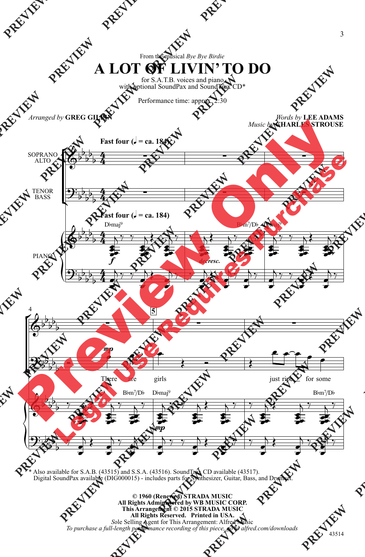## From the musical *Bye Bye Birdie* **A LOT OF LIVIN' TO DO**

for S.A.T.B. voices and piano with optional SoundPax and SoundTrax CD\*

Performance time: approx. 2:30

*Arranged by* **GREG GILPIN**

*Words by* **LEE ADAMS** *Music by* **CHARLES STROUSE**



\* Also available for S.A.B. (43515) and S.S.A. (43516). SoundTrax CD available (43517). Digital SoundPax available (DIG000015) - includes parts for Synthesizer, Guitar, Bass, and Drumset.

> **© 1960 (Renewed) STRADA MUSIC All Rights Administered by WB MUSIC CORP. This Arrangement © 2015 STRADA MUSIC All Rights Reserved. Printed in USA.** *S*ole Selling Agent for This Arrangement: Alfred Music *To purchase a full-length performance recording of this piece, go to alfred.com/downloads*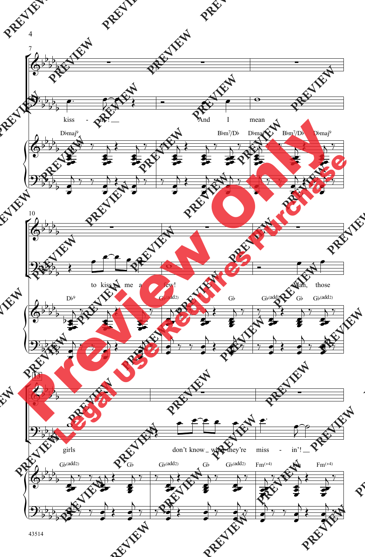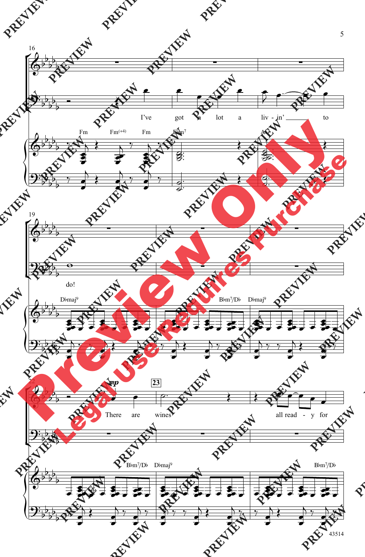

43514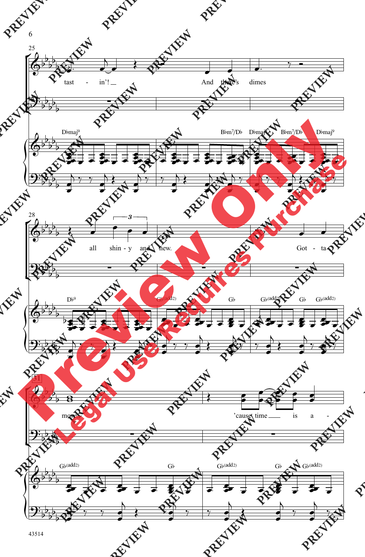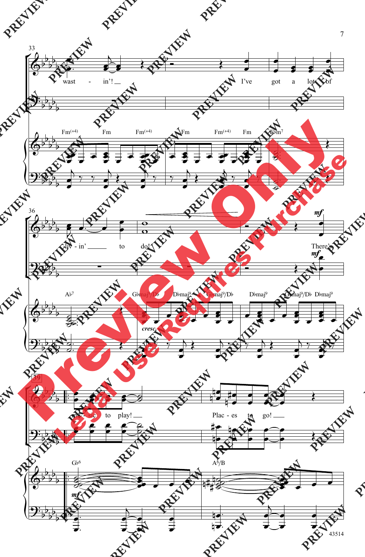

7

43514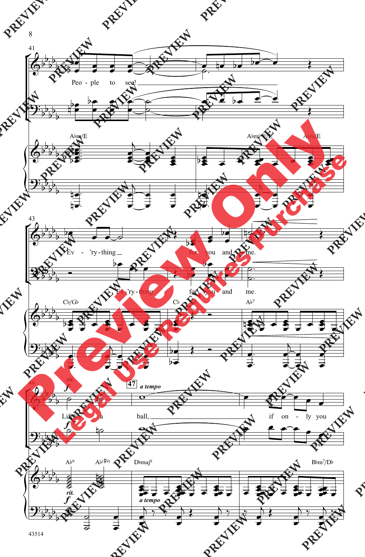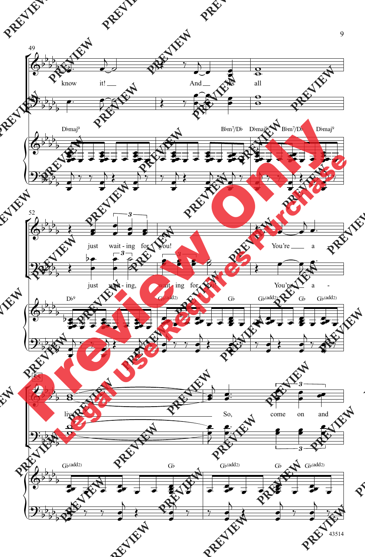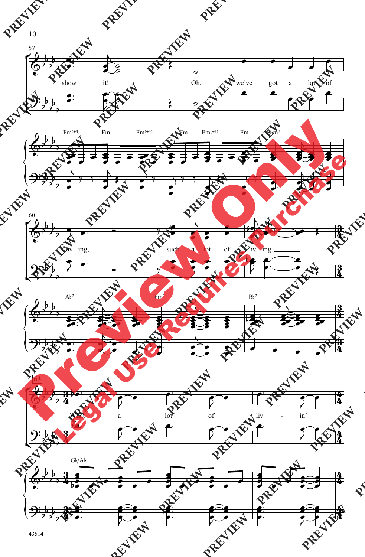